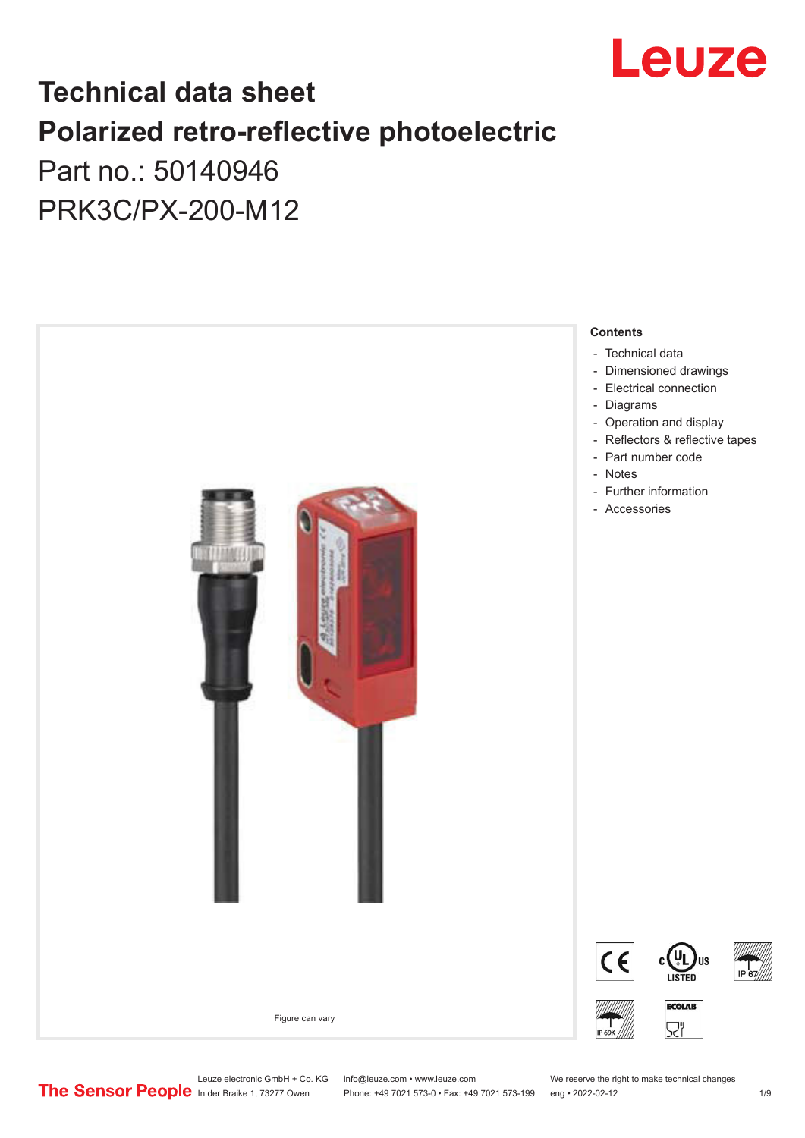

## **Technical data sheet Polarized retro-reflective photoelectric**  Part no.: 50140946

PRK3C/PX-200-M12



Leuze electronic GmbH + Co. KG info@leuze.com • www.leuze.com We reserve the right to make technical changes<br>
The Sensor People in der Braike 1, 73277 Owen Phone: +49 7021 573-0 • Fax: +49 7021 573-199 eng • 2022-02-12

Phone: +49 7021 573-0 • Fax: +49 7021 573-199 eng • 2022-02-12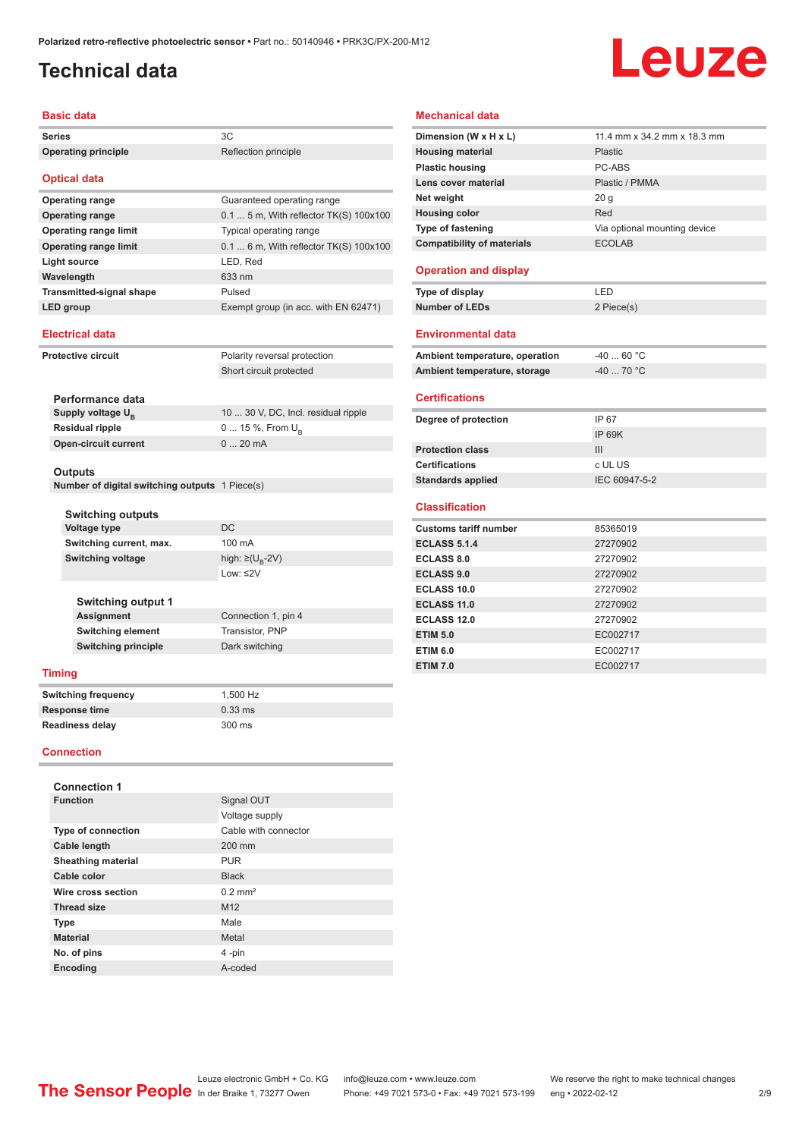### <span id="page-1-0"></span>**Technical data**

# Leuze

#### **Basic data**

| שמש טופטש                                      |                                         |  |  |
|------------------------------------------------|-----------------------------------------|--|--|
| <b>Series</b>                                  | 3C                                      |  |  |
| <b>Operating principle</b>                     | Reflection principle                    |  |  |
| <b>Optical data</b>                            |                                         |  |  |
| <b>Operating range</b>                         | Guaranteed operating range              |  |  |
| <b>Operating range</b>                         | 0.1  5 m, With reflector TK(S) 100x100  |  |  |
| <b>Operating range limit</b>                   | Typical operating range                 |  |  |
| <b>Operating range limit</b>                   | $0.1$ 6 m, With reflector TK(S) 100x100 |  |  |
| Light source                                   | LED, Red                                |  |  |
| Wavelength                                     | 633 nm                                  |  |  |
| <b>Transmitted-signal shape</b>                | Pulsed                                  |  |  |
| LED group                                      | Exempt group (in acc. with EN 62471)    |  |  |
| <b>Electrical data</b>                         |                                         |  |  |
| <b>Protective circuit</b>                      | Polarity reversal protection            |  |  |
|                                                | Short circuit protected                 |  |  |
|                                                |                                         |  |  |
| Performance data                               |                                         |  |  |
| Supply voltage $U_{B}$                         | 10  30 V, DC, Incl. residual ripple     |  |  |
| <b>Residual ripple</b>                         | 0  15 %, From $U_{\rm B}$               |  |  |
| <b>Open-circuit current</b>                    | 020mA                                   |  |  |
|                                                |                                         |  |  |
| Outputs                                        |                                         |  |  |
| Number of digital switching outputs 1 Piece(s) |                                         |  |  |
|                                                |                                         |  |  |
| <b>Switching outputs</b><br>Voltage type       | DC                                      |  |  |
| Switching current, max.                        | 100 mA                                  |  |  |
| <b>Switching voltage</b>                       | high: $\geq$ (U <sub>R</sub> -2V)       |  |  |
|                                                | Low: $\leq$ 2V                          |  |  |
|                                                |                                         |  |  |
| <b>Switching output 1</b>                      |                                         |  |  |
| Assignment                                     | Connection 1, pin 4                     |  |  |
| <b>Switching element</b>                       | Transistor, PNP                         |  |  |
| <b>Switching principle</b>                     | Dark switching                          |  |  |
|                                                |                                         |  |  |
| <b>Timing</b>                                  |                                         |  |  |
| <b>Switching frequency</b>                     | 1,500 Hz                                |  |  |
| <b>Response time</b>                           | $0.33$ ms                               |  |  |
| <b>Readiness delay</b>                         | 300 ms                                  |  |  |

#### **Connection**

| <b>Connection 1</b>       |                       |
|---------------------------|-----------------------|
| <b>Function</b>           | Signal OUT            |
|                           | Voltage supply        |
| <b>Type of connection</b> | Cable with connector  |
| Cable length              | 200 mm                |
| <b>Sheathing material</b> | <b>PUR</b>            |
| Cable color               | <b>Black</b>          |
| Wire cross section        | $0.2$ mm <sup>2</sup> |
| <b>Thread size</b>        | M <sub>12</sub>       |
| <b>Type</b>               | Male                  |
| <b>Material</b>           | Metal                 |
| No. of pins               | 4-pin                 |
| <b>Encoding</b>           | A-coded               |

#### **Mechanical data**

| Dimension (W x H x L)             | 11.4 mm x 34.2 mm x 18.3 mm  |
|-----------------------------------|------------------------------|
| <b>Housing material</b>           | Plastic                      |
| <b>Plastic housing</b>            | PC-ARS                       |
| Lens cover material               | Plastic / PMMA               |
| Net weight                        | 20 <sub>g</sub>              |
| <b>Housing color</b>              | Red                          |
| Type of fastening                 | Via optional mounting device |
| <b>Compatibility of materials</b> | <b>ECOLAB</b>                |
| <b>Operation and display</b>      |                              |
| Type of display                   | I FD                         |
| <b>Number of LEDs</b>             | 2 Piece(s)                   |
| <b>Environmental data</b>         |                              |
| Ambient temperature, operation    | $-4060 °C$                   |
| Ambient temperature, storage      | $-40$ 70 °C                  |
| <b>Certifications</b>             |                              |
| Degree of protection              | IP 67                        |
|                                   | <b>IP 69K</b>                |
| <b>Protection class</b>           | III                          |
| <b>Certifications</b>             | c UL US                      |
| <b>Standards applied</b>          | IEC 60947-5-2                |
| <b>Classification</b>             |                              |
| <b>Customs tariff number</b>      | 85365019                     |
| <b>ECLASS 5.1.4</b>               | 27270902                     |
| <b>ECLASS 8.0</b>                 | 27270902                     |
| <b>ECLASS 9.0</b>                 | 27270902                     |
| <b>ECLASS 10.0</b>                | 27270902                     |
| <b>ECLASS 11.0</b>                | 27270902                     |
| <b>ECLASS 12.0</b>                | 27270902                     |
| <b>ETIM 5.0</b>                   | EC002717                     |
| <b>ETIM 6.0</b>                   | EC002717                     |
| <b>ETIM 7.0</b>                   | EC002717                     |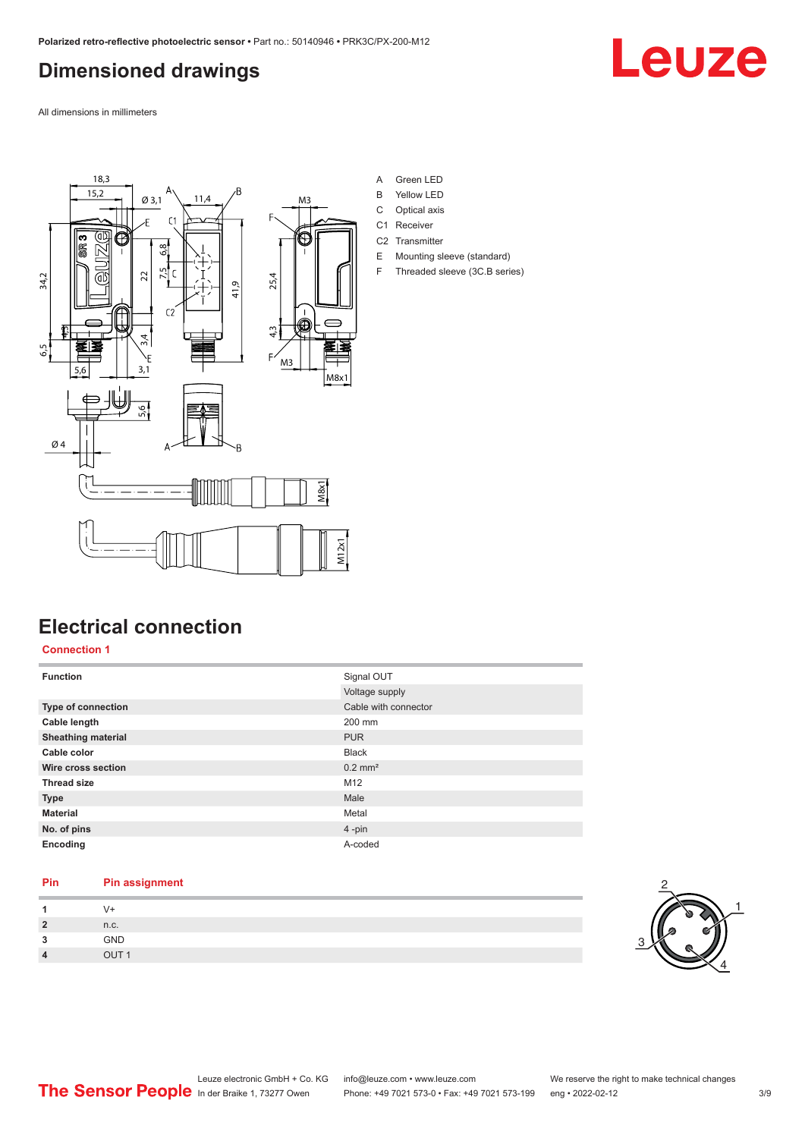### <span id="page-2-0"></span>**Dimensioned drawings**

Leuze

All dimensions in millimeters



### A Green LED

- B Yellow LED
- C Optical axis
- C1 Receiver
- C2 Transmitter
- E Mounting sleeve (standard) F Threaded sleeve (3C.B series)

### **Electrical connection**

#### **Connection 1**

| <b>Function</b>           | Signal OUT            |
|---------------------------|-----------------------|
|                           | Voltage supply        |
| Type of connection        | Cable with connector  |
| Cable length              | 200 mm                |
| <b>Sheathing material</b> | <b>PUR</b>            |
| Cable color               | <b>Black</b>          |
| Wire cross section        | $0.2$ mm <sup>2</sup> |
| <b>Thread size</b>        | M12                   |
| <b>Type</b>               | Male                  |
| <b>Material</b>           | Metal                 |
| No. of pins               | $4$ -pin              |
| Encoding                  | A-coded               |

#### **Pin Pin assignment**

|                  | √+                   |
|------------------|----------------------|
| $\overline{2}$   | n.c.                 |
| ໍາ               | GND                  |
| $\boldsymbol{4}$ | $O$ IJT <sub>1</sub> |

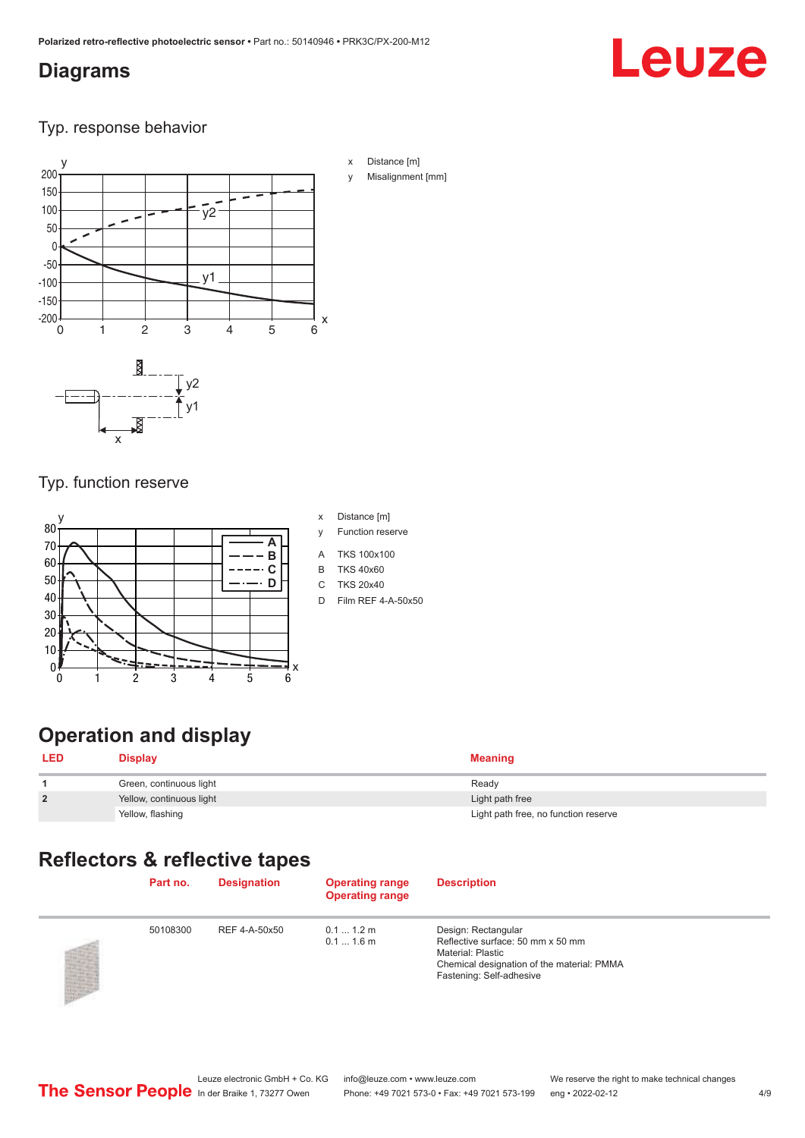### <span id="page-3-0"></span>**Diagrams**

## Leuze

Typ. response behavior



### Typ. function reserve



- x Distance [m]
- y Function reserve
- A TKS 100x100
- B TKS 40x60
- C TKS 20x40
- D Film REF 4-A-50x50

### **Operation and display**

| <b>LED</b>     | <b>Display</b>           | <b>Meaning</b>                       |
|----------------|--------------------------|--------------------------------------|
|                | Green, continuous light  | Ready                                |
| $\overline{2}$ | Yellow, continuous light | Light path free                      |
|                | Yellow, flashing         | Light path free, no function reserve |

### **Reflectors & reflective tapes**

| Part no. | <b>Designation</b> | <b>Operating range</b><br><b>Operating range</b> | <b>Description</b>                                                                                                                                             |
|----------|--------------------|--------------------------------------------------|----------------------------------------------------------------------------------------------------------------------------------------------------------------|
| 50108300 | REF 4-A-50x50      | $0.11.2$ m<br>$0.11.6$ m                         | Design: Rectangular<br>Reflective surface: 50 mm x 50 mm<br><b>Material: Plastic</b><br>Chemical designation of the material: PMMA<br>Fastening: Self-adhesive |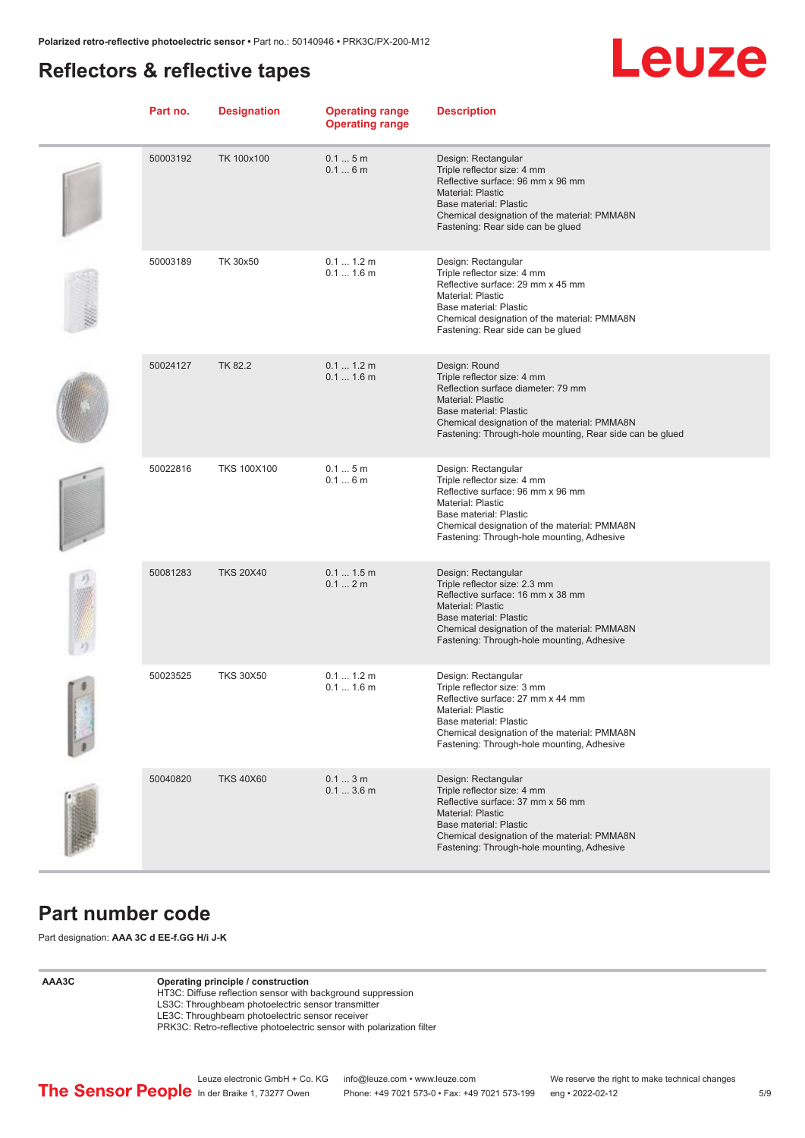### <span id="page-4-0"></span>**Reflectors & reflective tapes**



| Part no. | <b>Designation</b> | <b>Operating range</b><br><b>Operating range</b> | <b>Description</b>                                                                                                                                                                                                                                   |
|----------|--------------------|--------------------------------------------------|------------------------------------------------------------------------------------------------------------------------------------------------------------------------------------------------------------------------------------------------------|
| 50003192 | TK 100x100         | 0.15m<br>0.16m                                   | Design: Rectangular<br>Triple reflector size: 4 mm<br>Reflective surface: 96 mm x 96 mm<br>Material: Plastic<br>Base material: Plastic<br>Chemical designation of the material: PMMA8N<br>Fastening: Rear side can be glued                          |
| 50003189 | TK 30x50           | 0.11.2m<br>$0.11.6$ m                            | Design: Rectangular<br>Triple reflector size: 4 mm<br>Reflective surface: 29 mm x 45 mm<br>Material: Plastic<br>Base material: Plastic<br>Chemical designation of the material: PMMA8N<br>Fastening: Rear side can be glued                          |
| 50024127 | TK 82.2            | 0.1 1.2 m<br>$0.11.6$ m                          | Design: Round<br>Triple reflector size: 4 mm<br>Reflection surface diameter: 79 mm<br><b>Material: Plastic</b><br>Base material: Plastic<br>Chemical designation of the material: PMMA8N<br>Fastening: Through-hole mounting, Rear side can be glued |
| 50022816 | <b>TKS 100X100</b> | 0.15m<br>0.16m                                   | Design: Rectangular<br>Triple reflector size: 4 mm<br>Reflective surface: 96 mm x 96 mm<br>Material: Plastic<br>Base material: Plastic<br>Chemical designation of the material: PMMA8N<br>Fastening: Through-hole mounting, Adhesive                 |
| 50081283 | <b>TKS 20X40</b>   | 0.11.5m<br>0.12m                                 | Design: Rectangular<br>Triple reflector size: 2.3 mm<br>Reflective surface: 16 mm x 38 mm<br><b>Material: Plastic</b><br><b>Base material: Plastic</b><br>Chemical designation of the material: PMMA8N<br>Fastening: Through-hole mounting, Adhesive |
| 50023525 | <b>TKS 30X50</b>   | 0.1 1.2 m<br>$0.11.6$ m                          | Design: Rectangular<br>Triple reflector size: 3 mm<br>Reflective surface: 27 mm x 44 mm<br>Material: Plastic<br>Base material: Plastic<br>Chemical designation of the material: PMMA8N<br>Fastening: Through-hole mounting, Adhesive                 |
| 50040820 | <b>TKS 40X60</b>   | 0.13m<br>0.13.6m                                 | Design: Rectangular<br>Triple reflector size: 4 mm<br>Reflective surface: 37 mm x 56 mm<br><b>Material: Plastic</b><br><b>Base material: Plastic</b><br>Chemical designation of the material: PMMA8N<br>Fastening: Through-hole mounting, Adhesive   |

### **Part number code**

Part designation: **AAA 3C d EE-f.GG H/i J-K**

#### **AAA3C Operating principle / construction**

HT3C: Diffuse reflection sensor with background suppression LS3C: Throughbeam photoelectric sensor transmitter

LE3C: Throughbeam photoelectric sensor receiver

PRK3C: Retro-reflective photoelectric sensor with polarization filter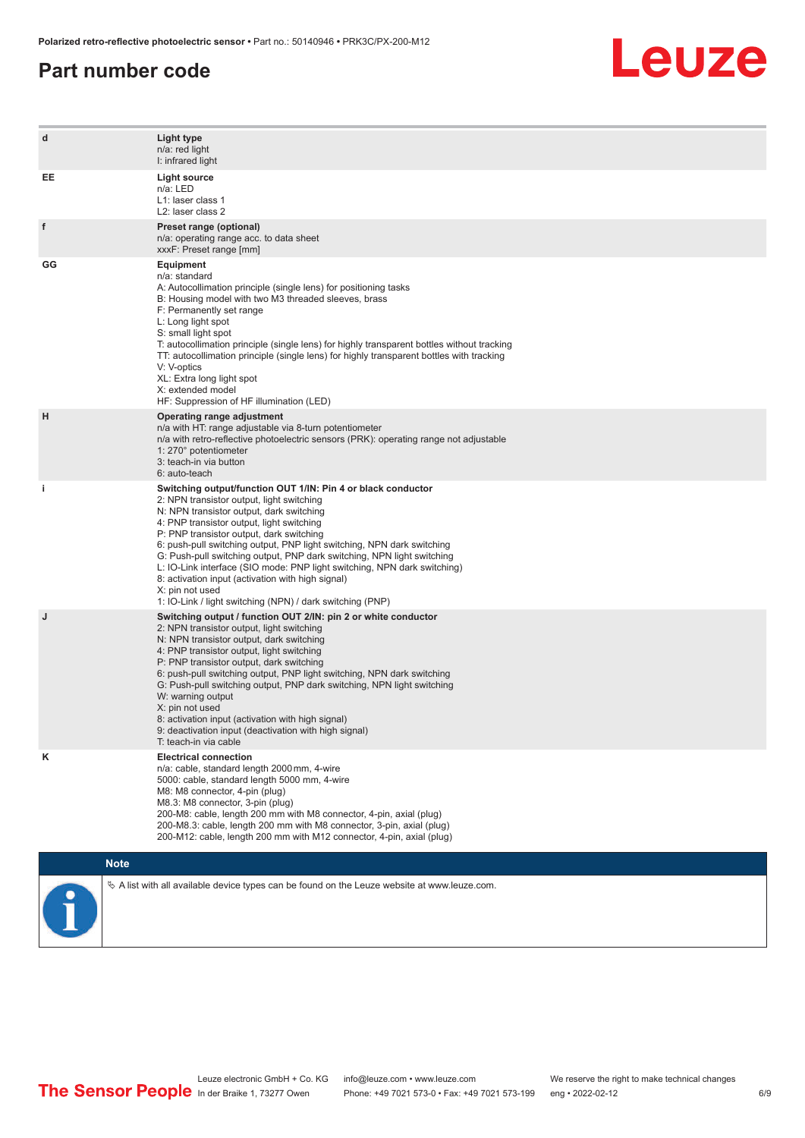### **Part number code**



| d  | Light type<br>n/a: red light<br>I: infrared light                                                                                                                                                                                                                                                                                                                                                                                                                                                                                                                                                                   |
|----|---------------------------------------------------------------------------------------------------------------------------------------------------------------------------------------------------------------------------------------------------------------------------------------------------------------------------------------------------------------------------------------------------------------------------------------------------------------------------------------------------------------------------------------------------------------------------------------------------------------------|
| EE | <b>Light source</b><br>n/a: LED<br>L1: laser class 1<br>L2: laser class 2                                                                                                                                                                                                                                                                                                                                                                                                                                                                                                                                           |
| f  | Preset range (optional)<br>n/a: operating range acc. to data sheet<br>xxxF: Preset range [mm]                                                                                                                                                                                                                                                                                                                                                                                                                                                                                                                       |
| GG | Equipment<br>n/a: standard<br>A: Autocollimation principle (single lens) for positioning tasks<br>B: Housing model with two M3 threaded sleeves, brass<br>F: Permanently set range<br>L: Long light spot<br>S: small light spot<br>T: autocollimation principle (single lens) for highly transparent bottles without tracking<br>TT: autocollimation principle (single lens) for highly transparent bottles with tracking<br>V: V-optics<br>XL: Extra long light spot<br>X: extended model<br>HF: Suppression of HF illumination (LED)                                                                              |
| н  | Operating range adjustment<br>n/a with HT: range adjustable via 8-turn potentiometer<br>n/a with retro-reflective photoelectric sensors (PRK): operating range not adjustable<br>1: 270° potentiometer<br>3: teach-in via button<br>6: auto-teach                                                                                                                                                                                                                                                                                                                                                                   |
| j. | Switching output/function OUT 1/IN: Pin 4 or black conductor<br>2: NPN transistor output, light switching<br>N: NPN transistor output, dark switching<br>4: PNP transistor output, light switching<br>P: PNP transistor output, dark switching<br>6: push-pull switching output, PNP light switching, NPN dark switching<br>G: Push-pull switching output, PNP dark switching, NPN light switching<br>L: IO-Link interface (SIO mode: PNP light switching, NPN dark switching)<br>8: activation input (activation with high signal)<br>X: pin not used<br>1: IO-Link / light switching (NPN) / dark switching (PNP) |
| J  | Switching output / function OUT 2/IN: pin 2 or white conductor<br>2: NPN transistor output, light switching<br>N: NPN transistor output, dark switching<br>4: PNP transistor output, light switching<br>P: PNP transistor output, dark switching<br>6: push-pull switching output, PNP light switching, NPN dark switching<br>G: Push-pull switching output, PNP dark switching, NPN light switching<br>W: warning output<br>X: pin not used<br>8: activation input (activation with high signal)<br>9: deactivation input (deactivation with high signal)<br>T: teach-in via cable                                 |
| Κ  | <b>Electrical connection</b><br>n/a: cable, standard length 2000 mm, 4-wire<br>5000: cable, standard length 5000 mm, 4-wire<br>M8: M8 connector, 4-pin (plug)<br>M8.3: M8 connector, 3-pin (plug)<br>200-M8: cable, length 200 mm with M8 connector, 4-pin, axial (plug)<br>200-M8.3: cable, length 200 mm with M8 connector, 3-pin, axial (plug)<br>200-M12: cable, length 200 mm with M12 connector, 4-pin, axial (plug)                                                                                                                                                                                          |
|    | <b>Note</b>                                                                                                                                                                                                                                                                                                                                                                                                                                                                                                                                                                                                         |
|    | $\&$ A list with all available device types can be found on the Leuze website at www.leuze.com.                                                                                                                                                                                                                                                                                                                                                                                                                                                                                                                     |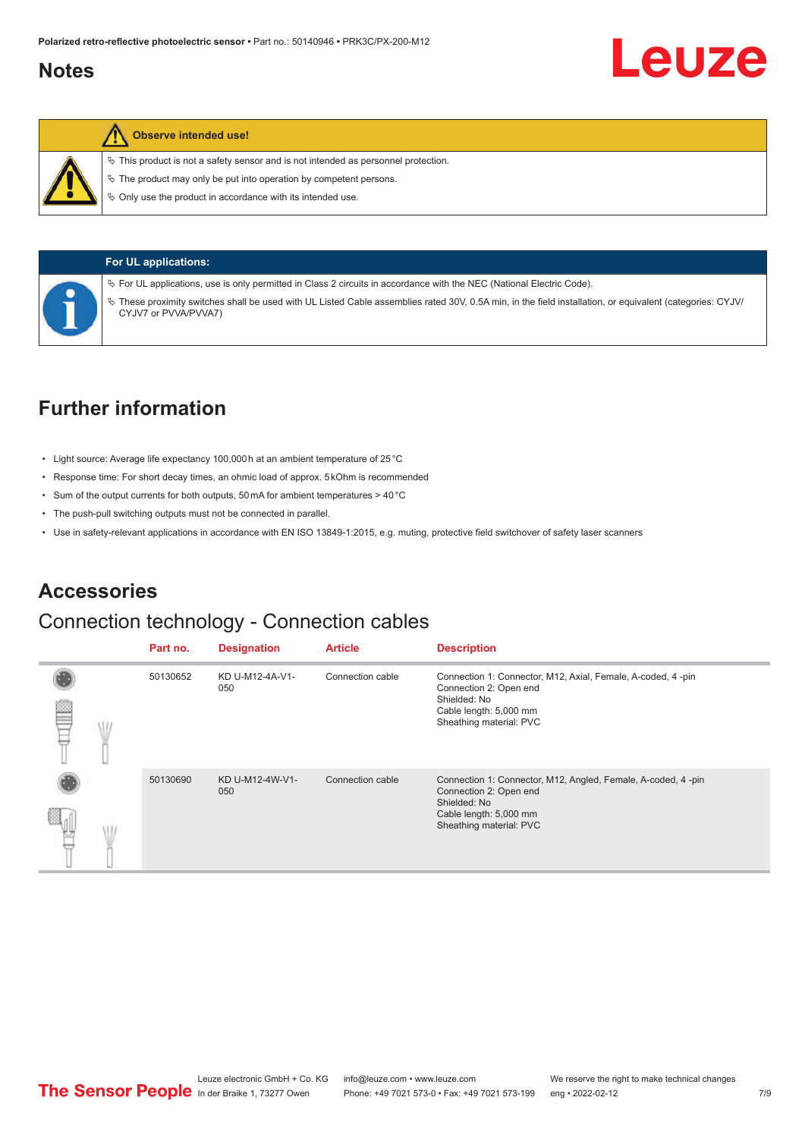### <span id="page-6-0"></span>**Notes**

#### **Observe intended use!**

 $\%$  This product is not a safety sensor and is not intended as personnel protection.

 $\ddot{\phi}$  The product may only be put into operation by competent persons.

 $\%$  Only use the product in accordance with its intended use.



#### **For UL applications:**

ª For UL applications, use is only permitted in Class 2 circuits in accordance with the NEC (National Electric Code).

ª These proximity switches shall be used with UL Listed Cable assemblies rated 30V, 0.5A min, in the field installation, or equivalent (categories: CYJV/ CYJV7 or PVVA/PVVA7)

### **Further information**

- Light source: Average life expectancy 100,000 h at an ambient temperature of 25 °C
- Response time: For short decay times, an ohmic load of approx. 5 kOhm is recommended
- Sum of the output currents for both outputs, 50 mA for ambient temperatures > 40 °C
- The push-pull switching outputs must not be connected in parallel.
- Use in safety-relevant applications in accordance with EN ISO 13849-1:2015, e.g. muting, protective field switchover of safety laser scanners

### **Accessories**

### Connection technology - Connection cables

|  | Part no. | <b>Designation</b>     | <b>Article</b>   | <b>Description</b>                                                                                                                                          |
|--|----------|------------------------|------------------|-------------------------------------------------------------------------------------------------------------------------------------------------------------|
|  | 50130652 | KD U-M12-4A-V1-<br>050 | Connection cable | Connection 1: Connector, M12, Axial, Female, A-coded, 4-pin<br>Connection 2: Open end<br>Shielded: No<br>Cable length: 5,000 mm<br>Sheathing material: PVC  |
|  | 50130690 | KD U-M12-4W-V1-<br>050 | Connection cable | Connection 1: Connector, M12, Angled, Female, A-coded, 4-pin<br>Connection 2: Open end<br>Shielded: No<br>Cable length: 5,000 mm<br>Sheathing material: PVC |

Leuze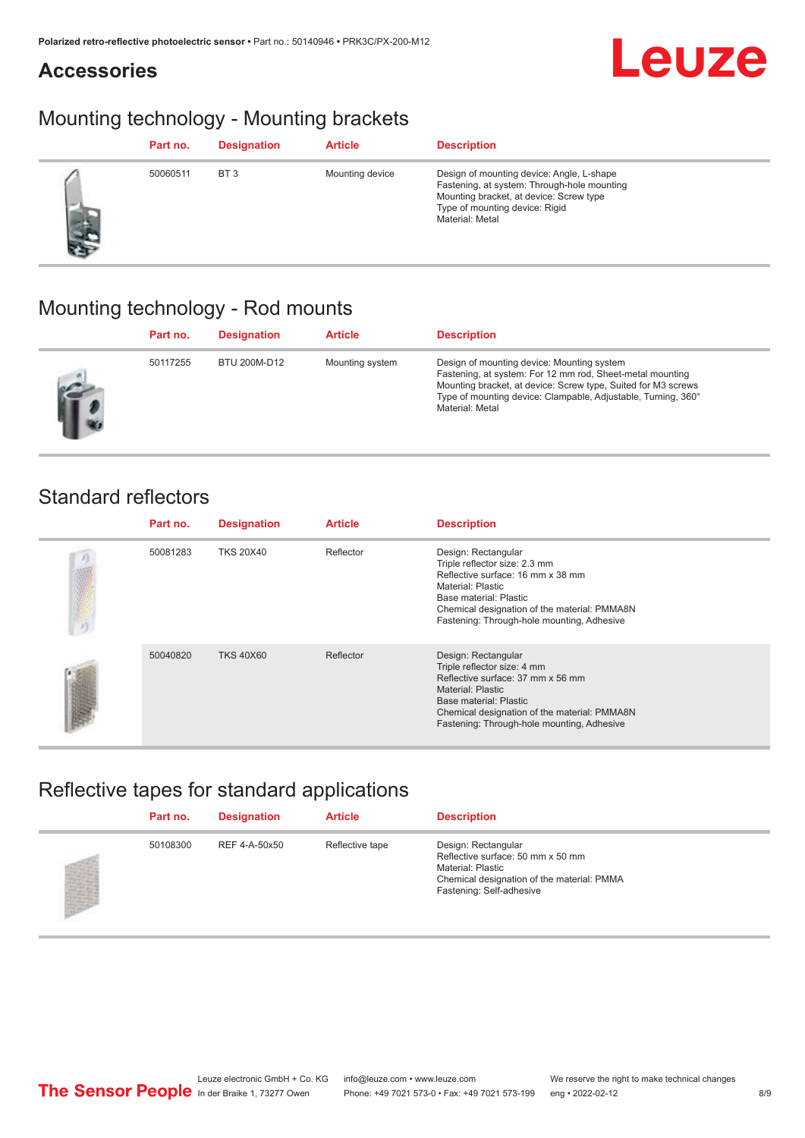## **Leuze**

### Mounting technology - Mounting brackets

|       | Part no. | <b>Designation</b> | <b>Article</b>  | <b>Description</b>                                                                                                                                                                       |
|-------|----------|--------------------|-----------------|------------------------------------------------------------------------------------------------------------------------------------------------------------------------------------------|
| it is | 50060511 | BT <sub>3</sub>    | Mounting device | Design of mounting device: Angle, L-shape<br>Fastening, at system: Through-hole mounting<br>Mounting bracket, at device: Screw type<br>Type of mounting device: Rigid<br>Material: Metal |

### Mounting technology - Rod mounts

| Part no. | <b>Designation</b> | <b>Article</b>  | <b>Description</b>                                                                                                                                                                                                                                           |
|----------|--------------------|-----------------|--------------------------------------------------------------------------------------------------------------------------------------------------------------------------------------------------------------------------------------------------------------|
| 50117255 | BTU 200M-D12       | Mounting system | Design of mounting device: Mounting system<br>Fastening, at system: For 12 mm rod, Sheet-metal mounting<br>Mounting bracket, at device: Screw type, Suited for M3 screws<br>Type of mounting device: Clampable, Adjustable, Turning, 360°<br>Material: Metal |

### Standard reflectors

**Accessories**

|    | Part no. | <b>Designation</b> | <b>Article</b> | <b>Description</b>                                                                                                                                                                                                                          |
|----|----------|--------------------|----------------|---------------------------------------------------------------------------------------------------------------------------------------------------------------------------------------------------------------------------------------------|
| り端 | 50081283 | <b>TKS 20X40</b>   | Reflector      | Design: Rectangular<br>Triple reflector size: 2.3 mm<br>Reflective surface: 16 mm x 38 mm<br>Material: Plastic<br>Base material: Plastic<br>Chemical designation of the material: PMMA8N<br>Fastening: Through-hole mounting, Adhesive      |
|    | 50040820 | <b>TKS 40X60</b>   | Reflector      | Design: Rectangular<br>Triple reflector size: 4 mm<br>Reflective surface: 37 mm x 56 mm<br><b>Material: Plastic</b><br>Base material: Plastic<br>Chemical designation of the material: PMMA8N<br>Fastening: Through-hole mounting, Adhesive |

### Reflective tapes for standard applications

| Part no. | <b>Designation</b> | <b>Article</b>  | <b>Description</b>                                                                                                                                      |
|----------|--------------------|-----------------|---------------------------------------------------------------------------------------------------------------------------------------------------------|
| 50108300 | REF 4-A-50x50      | Reflective tape | Design: Rectangular<br>Reflective surface: 50 mm x 50 mm<br>Material: Plastic<br>Chemical designation of the material: PMMA<br>Fastening: Self-adhesive |